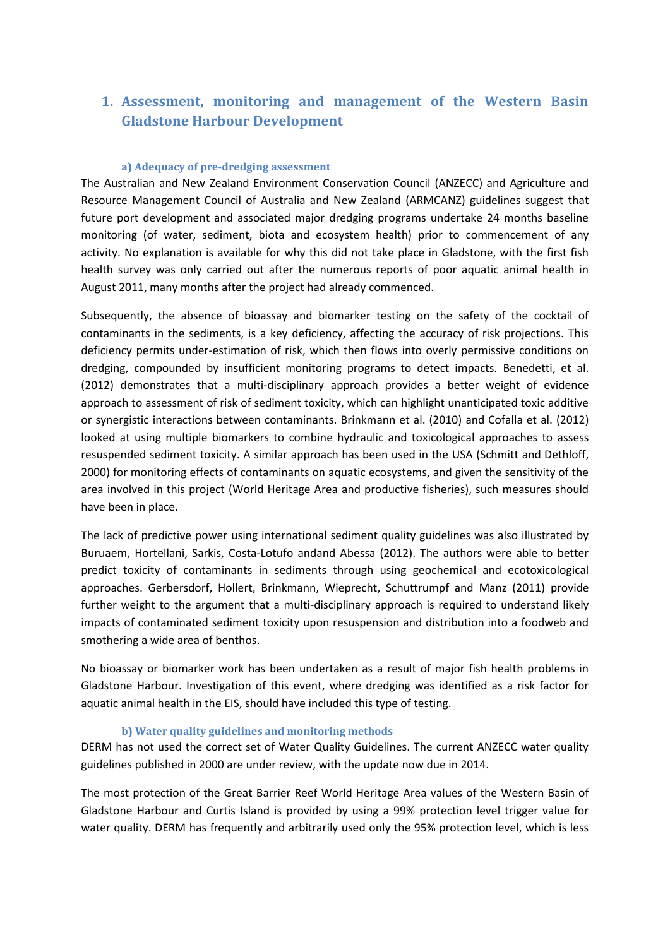# **1. Assessment, monitoring and management of the Western Basin Gladstone Harbour Development**

### **a) Adequacy of pre-dredging assessment**

The Australian and New Zealand Environment Conservation Council (ANZECC) and Agriculture and Resource Management Council of Australia and New Zealand (ARMCANZ) guidelines suggest that future port development and associated major dredging programs undertake 24 months baseline monitoring (of water, sediment, biota and ecosystem health) prior to commencement of any activity. No explanation is available for why this did not take place in Gladstone, with the first fish health survey was only carried out after the numerous reports of poor aquatic animal health in August 2011, many months after the project had already commenced.

Subsequently, the absence of bioassay and biomarker testing on the safety of the cocktail of contaminants in the sediments, is a key deficiency, affecting the accuracy of risk projections. This deficiency permits under-estimation of risk, which then flows into overly permissive conditions on dredging, compounded by insufficient monitoring programs to detect impacts. Benedetti, et al. (2012) demonstrates that a multi-disciplinary approach provides a better weight of evidence approach to assessment of risk of sediment toxicity, which can highlight unanticipated toxic additive or synergistic interactions between contaminants. Brinkmann et al. (2010) and Cofalla et al. (2012) looked at using multiple biomarkers to combine hydraulic and toxicological approaches to assess resuspended sediment toxicity. A similar approach has been used in the USA (Schmitt and Dethloff, 2000) for monitoring effects of contaminants on aquatic ecosystems, and given the sensitivity of the area involved in this project (World Heritage Area and productive fisheries), such measures should have been in place.

The lack of predictive power using international sediment quality guidelines was also illustrated by Buruaem, Hortellani, Sarkis, Costa-Lotufo andand Abessa (2012). The authors were able to better predict toxicity of contaminants in sediments through using geochemical and ecotoxicological approaches. Gerbersdorf, Hollert, Brinkmann, Wieprecht, Schuttrumpf and Manz (2011) provide further weight to the argument that a multi-disciplinary approach is required to understand likely impacts of contaminated sediment toxicity upon resuspension and distribution into a foodweb and smothering a wide area of benthos.

No bioassay or biomarker work has been undertaken as a result of major fish health problems in Gladstone Harbour. Investigation of this event, where dredging was identified as a risk factor for aquatic animal health in the EIS, should have included this type of testing.

#### **b) Water quality guidelines and monitoring methods**

DERM has not used the correct set of Water Quality Guidelines. The current ANZECC water quality guidelines published in 2000 are under review, with the update now due in 2014.

The most protection of the Great Barrier Reef World Heritage Area values of the Western Basin of Gladstone Harbour and Curtis Island is provided by using a 99% protection level trigger value for water quality. DERM has frequently and arbitrarily used only the 95% protection level, which is less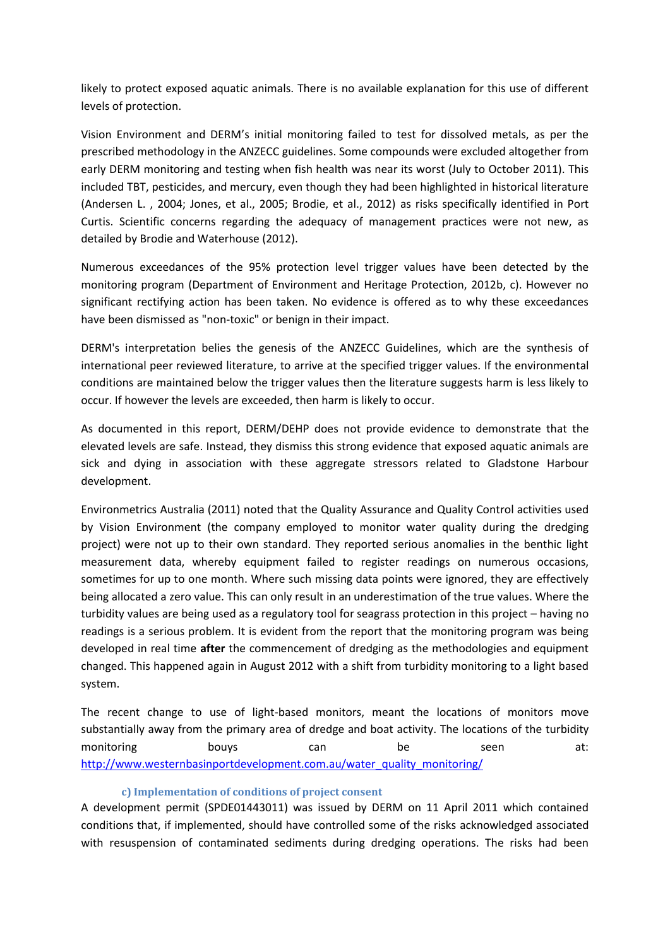likely to protect exposed aquatic animals. There is no available explanation for this use of different levels of protection.

Vision Environment and DERM's initial monitoring failed to test for dissolved metals, as per the prescribed methodology in the ANZECC guidelines. Some compounds were excluded altogether from early DERM monitoring and testing when fish health was near its worst (July to October 2011). This included TBT, pesticides, and mercury, even though they had been highlighted in historical literature (Andersen L. , 2004; Jones, et al., 2005; Brodie, et al., 2012) as risks specifically identified in Port Curtis. Scientific concerns regarding the adequacy of management practices were not new, as detailed by Brodie and Waterhouse (2012).

Numerous exceedances of the 95% protection level trigger values have been detected by the monitoring program (Department of Environment and Heritage Protection, 2012b, c). However no significant rectifying action has been taken. No evidence is offered as to why these exceedances have been dismissed as "non-toxic" or benign in their impact.

DERM's interpretation belies the genesis of the ANZECC Guidelines, which are the synthesis of international peer reviewed literature, to arrive at the specified trigger values. If the environmental conditions are maintained below the trigger values then the literature suggests harm is less likely to occur. If however the levels are exceeded, then harm is likely to occur.

As documented in this report, DERM/DEHP does not provide evidence to demonstrate that the elevated levels are safe. Instead, they dismiss this strong evidence that exposed aquatic animals are sick and dying in association with these aggregate stressors related to Gladstone Harbour development.

Environmetrics Australia (2011) noted that the Quality Assurance and Quality Control activities used by Vision Environment (the company employed to monitor water quality during the dredging project) were not up to their own standard. They reported serious anomalies in the benthic light measurement data, whereby equipment failed to register readings on numerous occasions, sometimes for up to one month. Where such missing data points were ignored, they are effectively being allocated a zero value. This can only result in an underestimation of the true values. Where the turbidity values are being used as a regulatory tool for seagrass protection in this project – having no readings is a serious problem. It is evident from the report that the monitoring program was being developed in real time **after** the commencement of dredging as the methodologies and equipment changed. This happened again in August 2012 with a shift from turbidity monitoring to a light based system.

The recent change to use of light-based monitors, meant the locations of monitors move substantially away from the primary area of dredge and boat activity. The locations of the turbidity monitoring bouys can be seen at: [http://www.westernbasinportdevelopment.com.au/water\\_quality\\_monitoring/](http://www.westernbasinportdevelopment.com.au/water_quality_monitoring/)

### **c) Implementation of conditions of project consent**

A development permit (SPDE01443011) was issued by DERM on 11 April 2011 which contained conditions that, if implemented, should have controlled some of the risks acknowledged associated with resuspension of contaminated sediments during dredging operations. The risks had been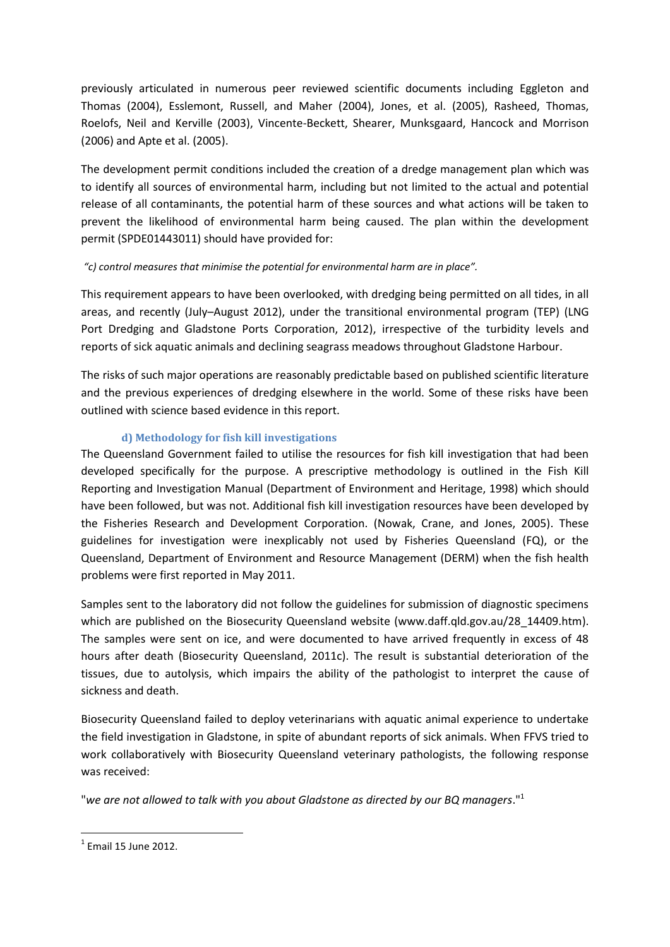previously articulated in numerous peer reviewed scientific documents including Eggleton and Thomas (2004), Esslemont, Russell, and Maher (2004), Jones, et al. (2005), Rasheed, Thomas, Roelofs, Neil and Kerville (2003), Vincente-Beckett, Shearer, Munksgaard, Hancock and Morrison (2006) and Apte et al. (2005).

The development permit conditions included the creation of a dredge management plan which was to identify all sources of environmental harm, including but not limited to the actual and potential release of all contaminants, the potential harm of these sources and what actions will be taken to prevent the likelihood of environmental harm being caused. The plan within the development permit (SPDE01443011) should have provided for:

## *"c) control measures that minimise the potential for environmental harm are in place".*

This requirement appears to have been overlooked, with dredging being permitted on all tides, in all areas, and recently (July–August 2012), under the transitional environmental program (TEP) (LNG Port Dredging and Gladstone Ports Corporation, 2012), irrespective of the turbidity levels and reports of sick aquatic animals and declining seagrass meadows throughout Gladstone Harbour.

The risks of such major operations are reasonably predictable based on published scientific literature and the previous experiences of dredging elsewhere in the world. Some of these risks have been outlined with science based evidence in this report.

### **d) Methodology for fish kill investigations**

The Queensland Government failed to utilise the resources for fish kill investigation that had been developed specifically for the purpose. A prescriptive methodology is outlined in the Fish Kill Reporting and Investigation Manual (Department of Environment and Heritage, 1998) which should have been followed, but was not. Additional fish kill investigation resources have been developed by the Fisheries Research and Development Corporation. (Nowak, Crane, and Jones, 2005). These guidelines for investigation were inexplicably not used by Fisheries Queensland (FQ), or the Queensland, Department of Environment and Resource Management (DERM) when the fish health problems were first reported in May 2011.

Samples sent to the laboratory did not follow the guidelines for submission of diagnostic specimens which are published on the Biosecurity Queensland website (www.daff.qld.gov.au/28 14409.htm). The samples were sent on ice, and were documented to have arrived frequently in excess of 48 hours after death (Biosecurity Queensland, 2011c). The result is substantial deterioration of the tissues, due to autolysis, which impairs the ability of the pathologist to interpret the cause of sickness and death.

Biosecurity Queensland failed to deploy veterinarians with aquatic animal experience to undertake the field investigation in Gladstone, in spite of abundant reports of sick animals. When FFVS tried to work collaboratively with Biosecurity Queensland veterinary pathologists, the following response was received:

"*we are not allowed to talk with you about Gladstone as directed by our BQ managers*."<sup>1</sup>

 1 Email 15 June 2012.